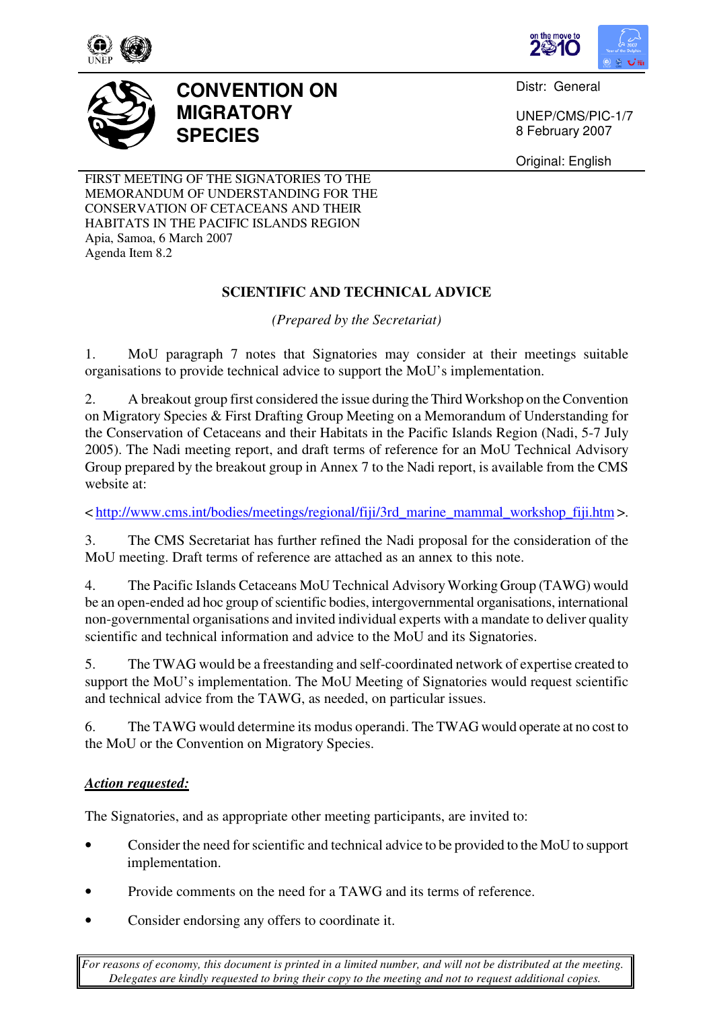



Distr: General

UNEP/CMS/PIC-1/7 8 February 2007

Original: English

FIRST MEETING OF THE SIGNATORIES TO THE MEMORANDUM OF UNDERSTANDING FOR THE CONSERVATION OF CETACEANS AND THEIR HABITATS IN THE PACIFIC ISLANDS REGION Apia, Samoa, 6 March 2007 Agenda Item 8.2

**MIGRATORY** 

**SPECIES** 

**CONVENTION ON** 

# **SCIENTIFIC AND TECHNICAL ADVICE**

*(Prepared by the Secretariat)* 

1. MoU paragraph 7 notes that Signatories may consider at their meetings suitable organisations to provide technical advice to support the MoU's implementation.

2. A breakout group first considered the issue during the Third Workshop on the Convention on Migratory Species & First Drafting Group Meeting on a Memorandum of Understanding for the Conservation of Cetaceans and their Habitats in the Pacific Islands Region (Nadi, 5-7 July 2005). The Nadi meeting report, and draft terms of reference for an MoU Technical Advisory Group prepared by the breakout group in Annex 7 to the Nadi report, is available from the CMS website at:

< http://www.cms.int/bodies/meetings/regional/fiji/3rd\_marine\_mammal\_workshop\_fiji.htm >.

3. The CMS Secretariat has further refined the Nadi proposal for the consideration of the MoU meeting. Draft terms of reference are attached as an annex to this note.

4. The Pacific Islands Cetaceans MoU Technical Advisory Working Group (TAWG) would be an open-ended ad hoc group of scientific bodies, intergovernmental organisations, international non-governmental organisations and invited individual experts with a mandate to deliver quality scientific and technical information and advice to the MoU and its Signatories.

5. The TWAG would be a freestanding and self-coordinated network of expertise created to support the MoU's implementation. The MoU Meeting of Signatories would request scientific and technical advice from the TAWG, as needed, on particular issues.

6. The TAWG would determine its modus operandi. The TWAG would operate at no cost to the MoU or the Convention on Migratory Species.

## *Action requested:*

The Signatories, and as appropriate other meeting participants, are invited to:

- Consider the need for scientific and technical advice to be provided to the MoU to support implementation.
- Provide comments on the need for a TAWG and its terms of reference.
- Consider endorsing any offers to coordinate it.

*For reasons of economy, this document is printed in a limited number, and will not be distributed at the meeting. Delegates are kindly requested to bring their copy to the meeting and not to request additional copies.*